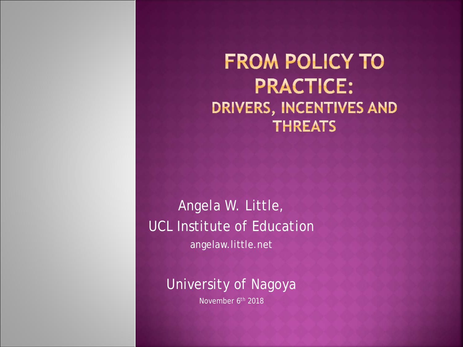**FROM POLICY TO PRACTICE:** DRIVERS, INCENTIVES AND **THREATS** 

Angela W. Little, UCL Institute of Education angelaw.little.net

University of Nagoya

November 6th 2018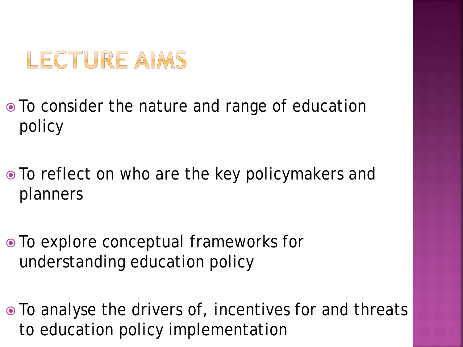### LECTURE AIMS

- To consider the nature and range of education policy
- To reflect on who are the key policymakers and planners
- To explore conceptual frameworks for understanding education policy
- To analyse the drivers of, incentives for and threats to education policy implementation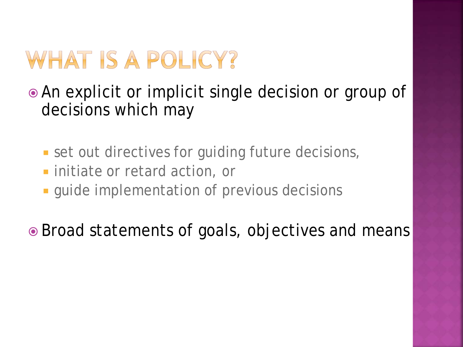## WHAT IS A POLICY?

 An explicit or implicit single decision or group of decisions which may

- **set out directives for guiding future decisions,**
- **Example 1** initiate or retard action, or
- **quide implementation of previous decisions**

• Broad statements of goals, objectives and means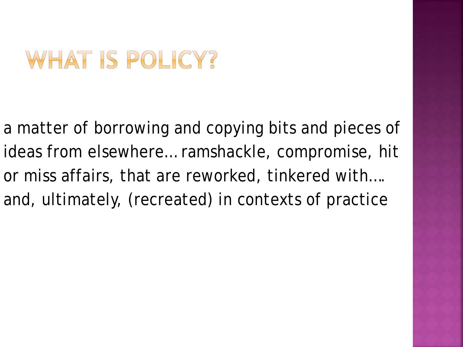### WHAT IS POLICY?

a matter of borrowing and copying bits and pieces of ideas from elsewhere… ramshackle, compromise, hit or miss affairs, that are reworked, tinkered with…. and, ultimately, (recreated) in contexts of practice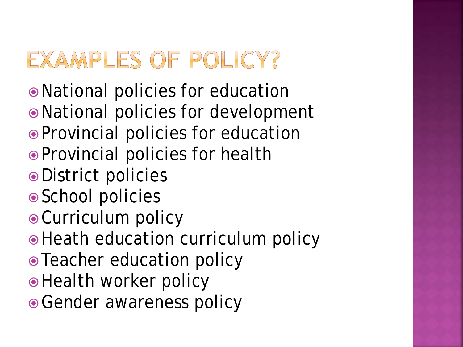# EXAMPLES OF POLICY?

- National policies for education
- National policies for development
- Provincial policies for education
- Provincial policies for health
- District policies
- School policies
- Curriculum policy
- Heath education curriculum policy
- Teacher education policy
- Health worker policy
- Gender awareness policy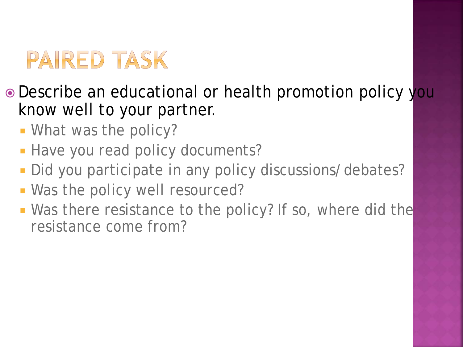## PAIRED TASK

- Describe an educational or health promotion policy you know well to your partner.
	- **What was the policy?**
	- **Have you read policy documents?**
	- Did you participate in any policy discussions/debates?
	- **Was the policy well resourced?**
	- **Was there resistance to the policy?** If so, where did the resistance come from?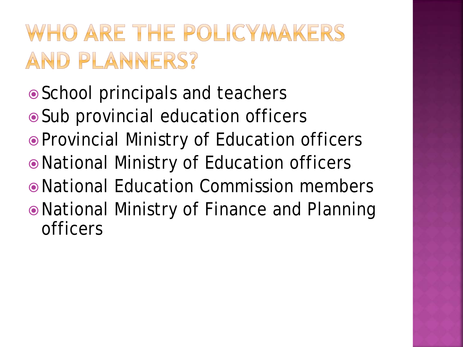# WHO ARE THE POLICYMAKERS AND PLANNERS?

- School principals and teachers
- Sub provincial education officers
- Provincial Ministry of Education officers
- National Ministry of Education officers
- National Education Commission members
- National Ministry of Finance and Planning officers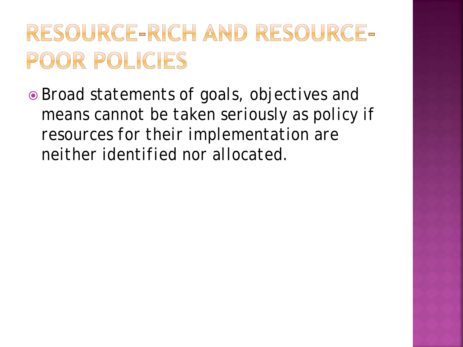# RESOURCE-RICH AND RESOURCE-POOR POLICIES

 *Broad statements of goals, objectives and means cannot be taken seriously as policy if resources for their implementation are neither identified nor allocated.*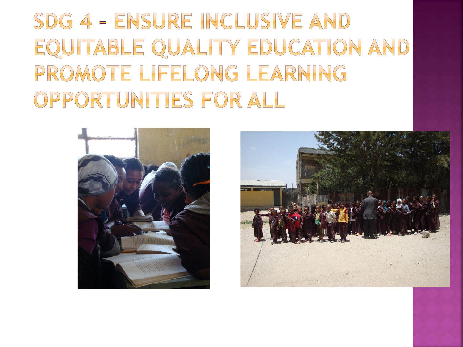# SDG 4 - ENSURE INCLUSIVE AND EQUITABLE QUALITY EDUCATION AND PROMOTE LIFELONG LEARNING OPPORTUNITIES FOR ALL



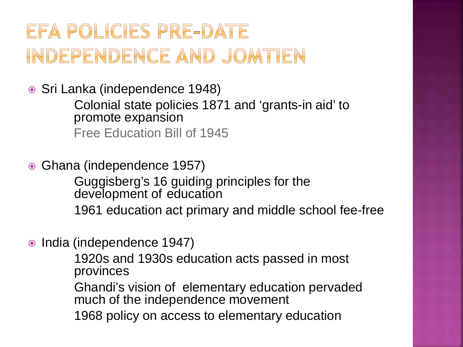### EFA POLICIES PRE-DATE INDEPENDENCE AND JOMTIEN

● Sri Lanka (independence 1948)

Colonial state policies 1871 and 'grants-in aid' to promote expansion Free Education Bill of 1945

• Ghana (independence 1957)

Guggisberg's 16 guiding principles for the development of education

1961 education act primary and middle school fee-free

• India (independence 1947)

1920s and 1930s education acts passed in most provinces

Ghandi's vision of elementary education pervaded much of the independence movement

1968 policy on access to elementary education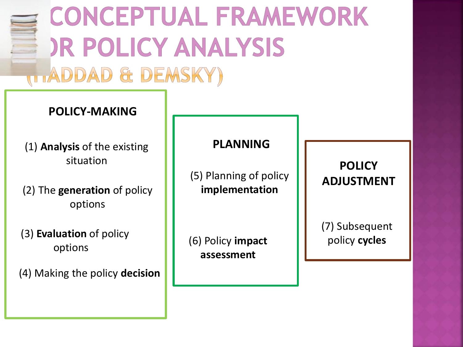

situation

(2) The **generation** of policy options

(3) **Evaluation** of policy options

(4) Making the policy **decision**

(5) Planning of policy **implementation**

(6) Policy **impact assessment**

**POLICY ADJUSTMENT**

(7) Subsequent policy **cycles**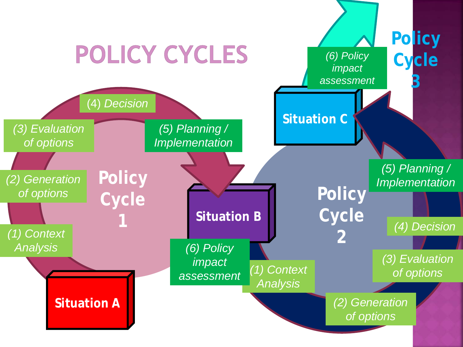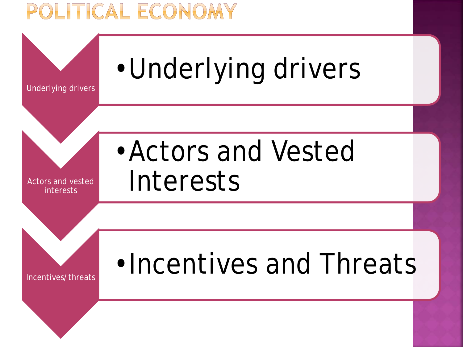#### OLITICAL ECONOMY

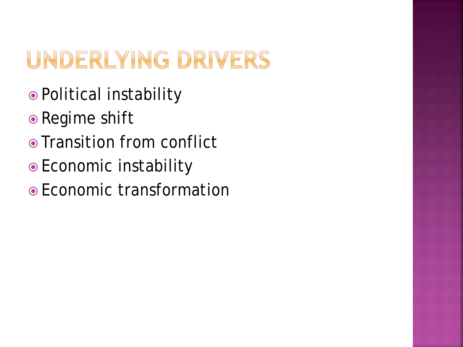# UNDERLYING DRIVERS

- Political instability
- Regime shift
- Transition from conflict
- Economic instability
- Economic transformation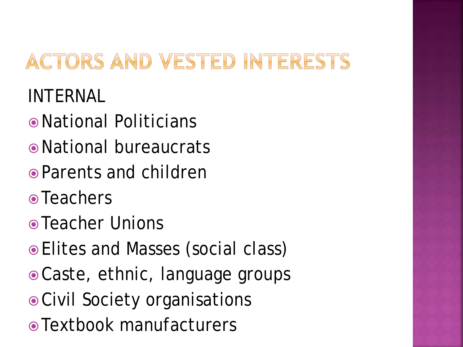### ACTORS AND VESTED INTERESTS

INTERNAL

- National Politicians
- National bureaucrats
- Parents and children
- Teachers
- Teacher Unions
- Elites and Masses (social class)
- Caste, ethnic, language groups
- Civil Society organisations
- Textbook manufacturers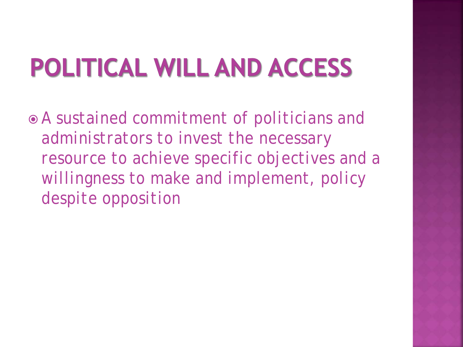# POLITICAL WILL AND ACCESS

 *A sustained commitment of politicians and administrators to invest the necessary resource to achieve specific objectives and a willingness to make and implement, policy despite opposition*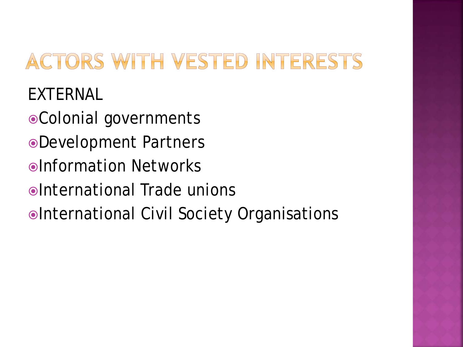### ACTORS WITH VESTED INTERESTS

EXTERNAL

- Colonial governments
- Development Partners
- Information Networks
- International Trade unions
- International Civil Society Organisations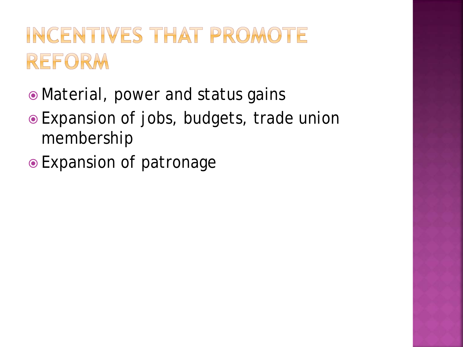## INCENTIVES THAT PROMOTE REFORM

- Material, power and status gains
- Expansion of jobs, budgets, trade union membership
- Expansion of patronage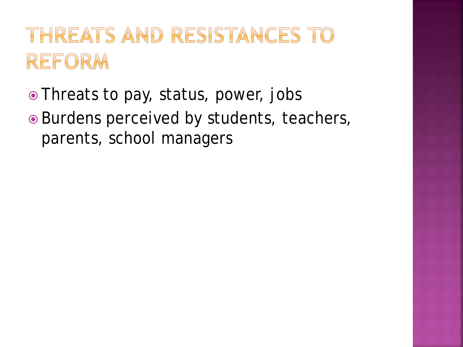### THREATS AND RESISTANCES TO REFORM

- Threats to pay, status, power, jobs
- Burdens perceived by students, teachers, parents, school managers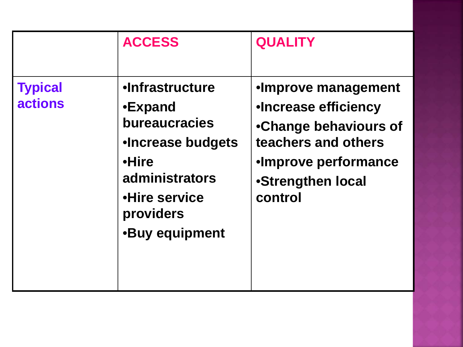|                                  | <b>ACCESS</b>                                                                                                                                                           | <b>QUALITY</b>                                                                                                                                      |
|----------------------------------|-------------------------------------------------------------------------------------------------------------------------------------------------------------------------|-----------------------------------------------------------------------------------------------------------------------------------------------------|
| <b>Typical</b><br><b>actions</b> | <b>•Infrastructure</b><br>•Expand<br><b>bureaucracies</b><br><b>.Increase budgets</b><br>•Hire<br>administrators<br>•Hire service<br>providers<br><b>•Buy equipment</b> | •Improve management<br>•Increase efficiency<br>•Change behaviours of<br>teachers and others<br>•Improve performance<br>•Strengthen local<br>control |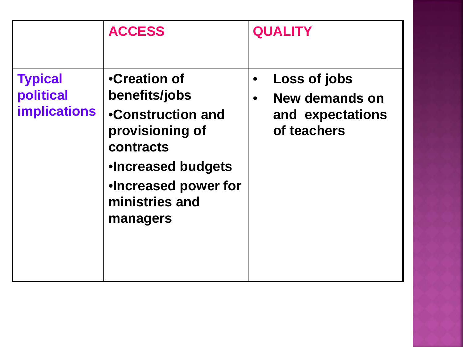|                                                    | <b>ACCESS</b>                                                                                                                                                                | <b>QUALITY</b>                                                                 |
|----------------------------------------------------|------------------------------------------------------------------------------------------------------------------------------------------------------------------------------|--------------------------------------------------------------------------------|
| <b>Typical</b><br>political<br><b>implications</b> | •Creation of<br>benefits/jobs<br>•Construction and<br>provisioning of<br>contracts<br><b>.Increased budgets</b><br><b>.Increased power for</b><br>ministries and<br>managers | Loss of jobs<br>New demands on<br>$\bullet$<br>and expectations<br>of teachers |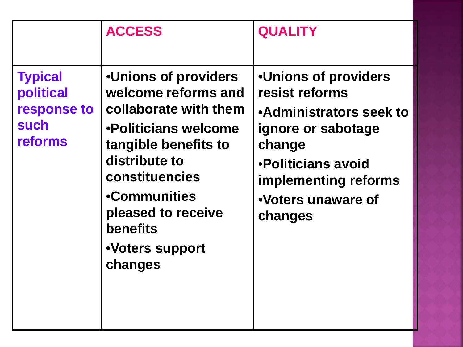|                                                               | <b>ACCESS</b>                                                                                                                                                                                                                                  | <b>QUALITY</b>                                                                                                                                                                                 |
|---------------------------------------------------------------|------------------------------------------------------------------------------------------------------------------------------------------------------------------------------------------------------------------------------------------------|------------------------------------------------------------------------------------------------------------------------------------------------------------------------------------------------|
| <b>Typical</b><br>political<br>response to<br>such<br>reforms | <b>.Unions of providers</b><br>welcome reforms and<br>collaborate with them<br>•Politicians welcome<br>tangible benefits to<br>distribute to<br>constituencies<br>•Communities<br>pleased to receive<br>benefits<br>•Voters support<br>changes | <b>.Unions of providers</b><br>resist reforms<br>•Administrators seek to<br>ignore or sabotage<br>change<br>•Politicians avoid<br><b>implementing reforms</b><br>.Voters unaware of<br>changes |